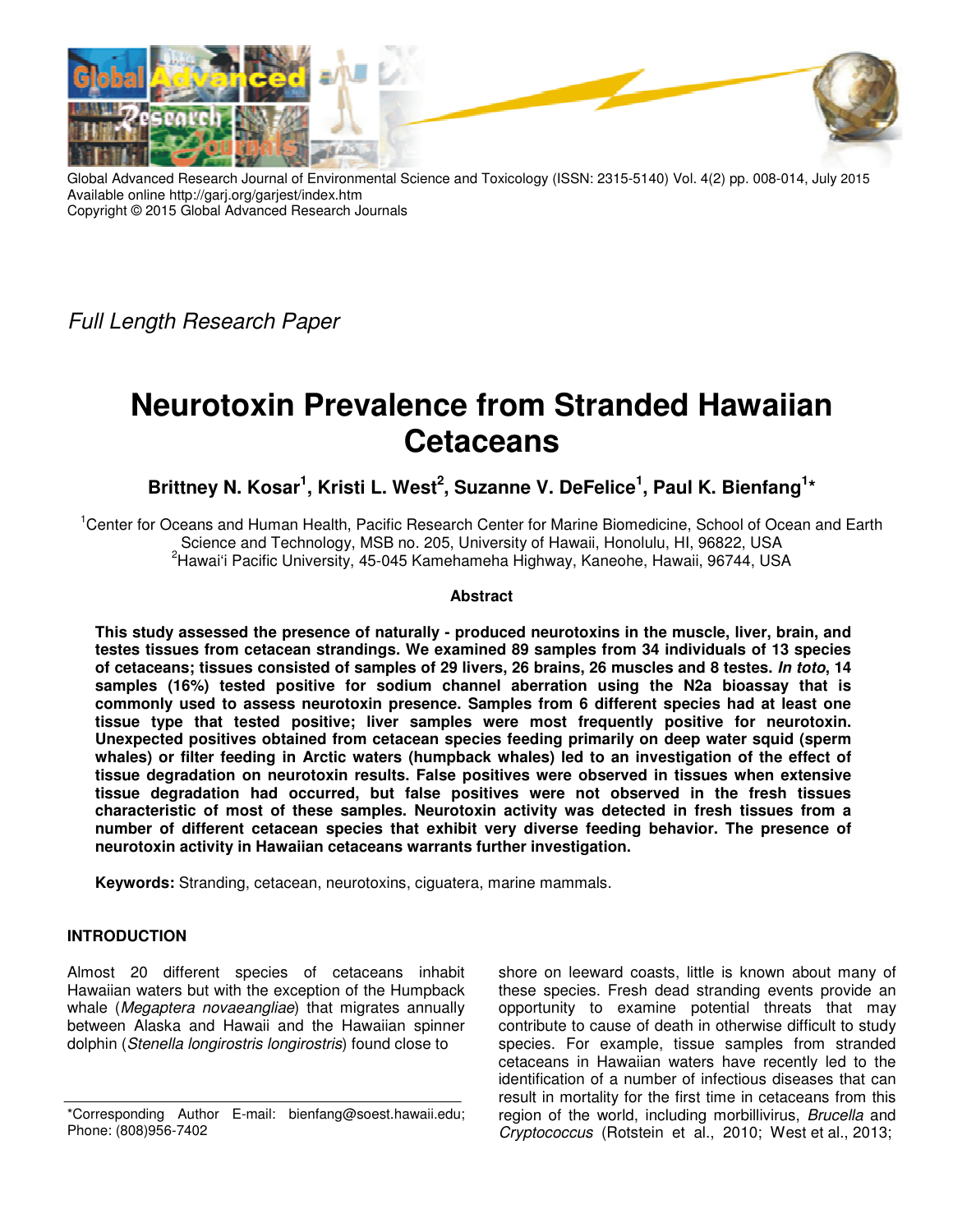

Global Advanced Research Journal of Environmental Science and Toxicology (ISSN: 2315-5140) Vol. 4(2) pp. 008-014, July 2015 Available online http://garj.org/garjest/index.htm Copyright © 2015 Global Advanced Research Journals

Full Length Research Paper

# **Neurotoxin Prevalence from Stranded Hawaiian Cetaceans**

Brittney N. Kosar<sup>1</sup>, Kristi L. West<sup>2</sup>, Suzanne V. DeFelice<sup>1</sup>, Paul K. Bienfang<sup>1</sup>\*

<sup>1</sup>Center for Oceans and Human Health, Pacific Research Center for Marine Biomedicine, School of Ocean and Earth Science and Technology, MSB no. 205, University of Hawaii, Honolulu, HI, 96822, USA <sup>2</sup>Hawai'i Pacific University, 45-045 Kamehameha Highway, Kaneohe, Hawaii, 96744, USA

# **Abstract**

**This study assessed the presence of naturally - produced neurotoxins in the muscle, liver, brain, and testes tissues from cetacean strandings. We examined 89 samples from 34 individuals of 13 species of cetaceans; tissues consisted of samples of 29 livers, 26 brains, 26 muscles and 8 testes. In toto, 14 samples (16%) tested positive for sodium channel aberration using the N2a bioassay that is commonly used to assess neurotoxin presence. Samples from 6 different species had at least one tissue type that tested positive; liver samples were most frequently positive for neurotoxin. Unexpected positives obtained from cetacean species feeding primarily on deep water squid (sperm whales) or filter feeding in Arctic waters (humpback whales) led to an investigation of the effect of tissue degradation on neurotoxin results. False positives were observed in tissues when extensive tissue degradation had occurred, but false positives were not observed in the fresh tissues characteristic of most of these samples. Neurotoxin activity was detected in fresh tissues from a number of different cetacean species that exhibit very diverse feeding behavior. The presence of neurotoxin activity in Hawaiian cetaceans warrants further investigation.** 

**Keywords:** Stranding, cetacean, neurotoxins, ciguatera, marine mammals.

# **INTRODUCTION**

Almost 20 different species of cetaceans inhabit Hawaiian waters but with the exception of the Humpback whale (Megaptera novaeangliae) that migrates annually between Alaska and Hawaii and the Hawaiian spinner dolphin (Stenella longirostris longirostris) found close to

shore on leeward coasts, little is known about many of these species. Fresh dead stranding events provide an opportunity to examine potential threats that may contribute to cause of death in otherwise difficult to study species. For example, tissue samples from stranded cetaceans in Hawaiian waters have recently led to the identification of a number of infectious diseases that can result in mortality for the first time in cetaceans from this region of the world, including morbillivirus, Brucella and Cryptococcus (Rotstein et al., 2010; West et al., 2013;

<sup>\*</sup>Corresponding Author E-mail: bienfang@soest.hawaii.edu; Phone: (808)956-7402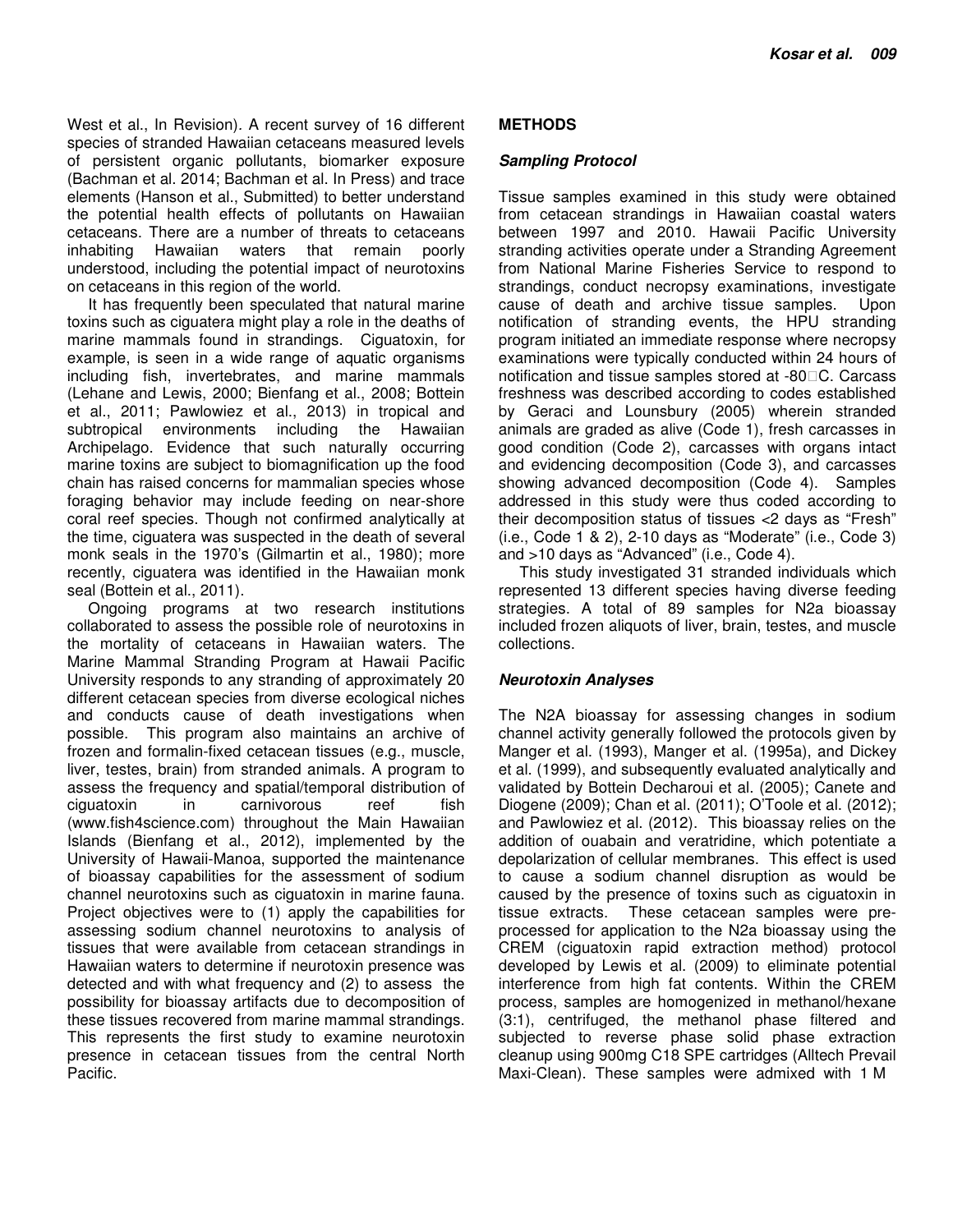West et al., In Revision). A recent survey of 16 different species of stranded Hawaiian cetaceans measured levels of persistent organic pollutants, biomarker exposure (Bachman et al. 2014; Bachman et al. In Press) and trace elements (Hanson et al., Submitted) to better understand the potential health effects of pollutants on Hawaiian cetaceans. There are a number of threats to cetaceans inhabiting Hawaiian waters that remain poorly understood, including the potential impact of neurotoxins on cetaceans in this region of the world.

It has frequently been speculated that natural marine toxins such as ciguatera might play a role in the deaths of marine mammals found in strandings. Ciguatoxin, for example, is seen in a wide range of aquatic organisms including fish, invertebrates, and marine mammals (Lehane and Lewis, 2000; Bienfang et al., 2008; Bottein et al., 2011; Pawlowiez et al., 2013) in tropical and subtropical environments including the Hawaiian Archipelago. Evidence that such naturally occurring marine toxins are subject to biomagnification up the food chain has raised concerns for mammalian species whose foraging behavior may include feeding on near-shore coral reef species. Though not confirmed analytically at the time, ciguatera was suspected in the death of several monk seals in the 1970's (Gilmartin et al., 1980); more recently, ciguatera was identified in the Hawaiian monk seal (Bottein et al., 2011).

Ongoing programs at two research institutions collaborated to assess the possible role of neurotoxins in the mortality of cetaceans in Hawaiian waters. The Marine Mammal Stranding Program at Hawaii Pacific University responds to any stranding of approximately 20 different cetacean species from diverse ecological niches and conducts cause of death investigations when possible. This program also maintains an archive of frozen and formalin-fixed cetacean tissues (e.g., muscle, liver, testes, brain) from stranded animals. A program to assess the frequency and spatial/temporal distribution of ciguatoxin in carnivorous reef fish (www.fish4science.com) throughout the Main Hawaiian Islands (Bienfang et al., 2012), implemented by the University of Hawaii-Manoa, supported the maintenance of bioassay capabilities for the assessment of sodium channel neurotoxins such as ciguatoxin in marine fauna. Project objectives were to (1) apply the capabilities for assessing sodium channel neurotoxins to analysis of tissues that were available from cetacean strandings in Hawaiian waters to determine if neurotoxin presence was detected and with what frequency and (2) to assess the possibility for bioassay artifacts due to decomposition of these tissues recovered from marine mammal strandings. This represents the first study to examine neurotoxin presence in cetacean tissues from the central North Pacific.

# **METHODS**

#### **Sampling Protocol**

Tissue samples examined in this study were obtained from cetacean strandings in Hawaiian coastal waters between 1997 and 2010. Hawaii Pacific University stranding activities operate under a Stranding Agreement from National Marine Fisheries Service to respond to strandings, conduct necropsy examinations, investigate cause of death and archive tissue samples. Upon notification of stranding events, the HPU stranding program initiated an immediate response where necropsy examinations were typically conducted within 24 hours of notification and tissue samples stored at -80<sup>O</sup>C. Carcass freshness was described according to codes established by Geraci and Lounsbury (2005) wherein stranded animals are graded as alive (Code 1), fresh carcasses in good condition (Code 2), carcasses with organs intact and evidencing decomposition (Code 3), and carcasses showing advanced decomposition (Code 4). Samples addressed in this study were thus coded according to their decomposition status of tissues <2 days as "Fresh" (i.e., Code 1 & 2), 2-10 days as "Moderate" (i.e., Code 3) and >10 days as "Advanced" (i.e., Code 4).

This study investigated 31 stranded individuals which represented 13 different species having diverse feeding strategies. A total of 89 samples for N2a bioassay included frozen aliquots of liver, brain, testes, and muscle collections.

#### **Neurotoxin Analyses**

The N2A bioassay for assessing changes in sodium channel activity generally followed the protocols given by Manger et al. (1993), Manger et al. (1995a), and Dickey et al. (1999), and subsequently evaluated analytically and validated by Bottein Decharoui et al. (2005); Canete and Diogene (2009); Chan et al. (2011); O'Toole et al. (2012); and Pawlowiez et al. (2012). This bioassay relies on the addition of ouabain and veratridine, which potentiate a depolarization of cellular membranes. This effect is used to cause a sodium channel disruption as would be caused by the presence of toxins such as ciguatoxin in tissue extracts. These cetacean samples were preprocessed for application to the N2a bioassay using the CREM (ciguatoxin rapid extraction method) protocol developed by Lewis et al. (2009) to eliminate potential interference from high fat contents. Within the CREM process, samples are homogenized in methanol/hexane (3:1), centrifuged, the methanol phase filtered and subjected to reverse phase solid phase extraction cleanup using 900mg C18 SPE cartridges (Alltech Prevail Maxi-Clean). These samples were admixed with 1 M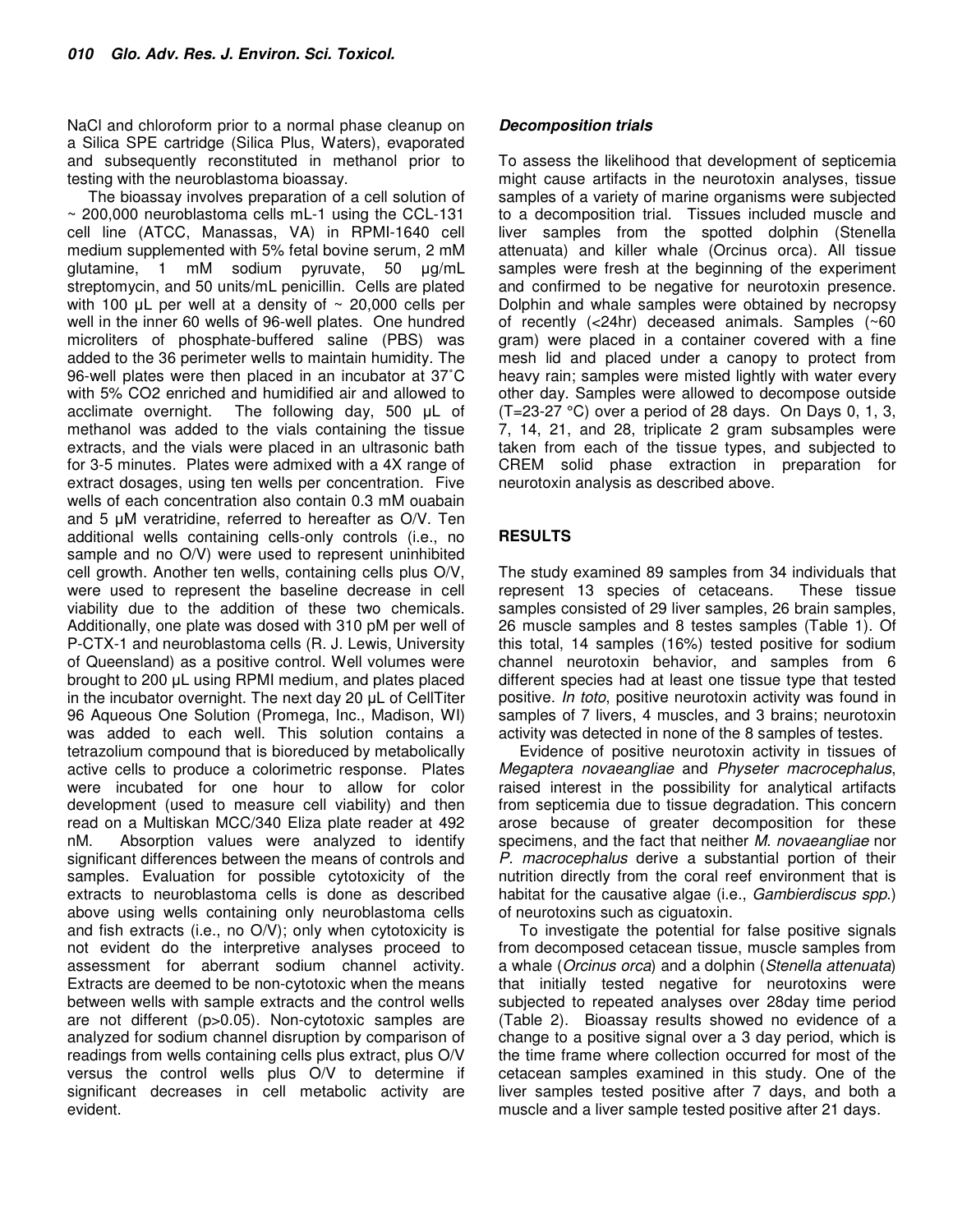NaCl and chloroform prior to a normal phase cleanup on a Silica SPE cartridge (Silica Plus, Waters), evaporated and subsequently reconstituted in methanol prior to testing with the neuroblastoma bioassay.

The bioassay involves preparation of a cell solution of ~ 200,000 neuroblastoma cells mL-1 using the CCL-131 cell line (ATCC, Manassas, VA) in RPMI-1640 cell medium supplemented with 5% fetal bovine serum, 2 mM glutamine, 1 mM sodium pyruvate, 50 µg/mL streptomycin, and 50 units/mL penicillin. Cells are plated with 100  $\mu$ L per well at a density of  $\sim$  20,000 cells per well in the inner 60 wells of 96-well plates. One hundred microliters of phosphate-buffered saline (PBS) was added to the 36 perimeter wells to maintain humidity. The 96-well plates were then placed in an incubator at 37˚C with 5% CO2 enriched and humidified air and allowed to acclimate overnight. The following day, 500 µL of methanol was added to the vials containing the tissue extracts, and the vials were placed in an ultrasonic bath for 3-5 minutes. Plates were admixed with a 4X range of extract dosages, using ten wells per concentration. Five wells of each concentration also contain 0.3 mM ouabain and 5 µM veratridine, referred to hereafter as O/V. Ten additional wells containing cells-only controls (i.e., no sample and no O/V) were used to represent uninhibited cell growth. Another ten wells, containing cells plus O/V, were used to represent the baseline decrease in cell viability due to the addition of these two chemicals. Additionally, one plate was dosed with 310 pM per well of P-CTX-1 and neuroblastoma cells (R. J. Lewis, University of Queensland) as a positive control. Well volumes were brought to 200 µL using RPMI medium, and plates placed in the incubator overnight. The next day 20 µL of CellTiter 96 Aqueous One Solution (Promega, Inc., Madison, WI) was added to each well. This solution contains a tetrazolium compound that is bioreduced by metabolically active cells to produce a colorimetric response. Plates were incubated for one hour to allow for color development (used to measure cell viability) and then read on a Multiskan MCC/340 Eliza plate reader at 492 nM. Absorption values were analyzed to identify significant differences between the means of controls and samples. Evaluation for possible cytotoxicity of the extracts to neuroblastoma cells is done as described above using wells containing only neuroblastoma cells and fish extracts (i.e., no O/V); only when cytotoxicity is not evident do the interpretive analyses proceed to assessment for aberrant sodium channel activity. Extracts are deemed to be non-cytotoxic when the means between wells with sample extracts and the control wells are not different (p>0.05). Non-cytotoxic samples are analyzed for sodium channel disruption by comparison of readings from wells containing cells plus extract, plus O/V versus the control wells plus O/V to determine if significant decreases in cell metabolic activity are evident.

### **Decomposition trials**

To assess the likelihood that development of septicemia might cause artifacts in the neurotoxin analyses, tissue samples of a variety of marine organisms were subjected to a decomposition trial. Tissues included muscle and liver samples from the spotted dolphin (Stenella attenuata) and killer whale (Orcinus orca). All tissue samples were fresh at the beginning of the experiment and confirmed to be negative for neurotoxin presence. Dolphin and whale samples were obtained by necropsy of recently (<24hr) deceased animals. Samples (~60 gram) were placed in a container covered with a fine mesh lid and placed under a canopy to protect from heavy rain; samples were misted lightly with water every other day. Samples were allowed to decompose outside (T=23-27 °C) over a period of 28 days. On Days 0, 1, 3, 7, 14, 21, and 28, triplicate 2 gram subsamples were taken from each of the tissue types, and subjected to CREM solid phase extraction in preparation for neurotoxin analysis as described above.

# **RESULTS**

The study examined 89 samples from 34 individuals that represent 13 species of cetaceans. These tissue samples consisted of 29 liver samples, 26 brain samples, 26 muscle samples and 8 testes samples (Table 1). Of this total, 14 samples (16%) tested positive for sodium channel neurotoxin behavior, and samples from 6 different species had at least one tissue type that tested positive. In toto, positive neurotoxin activity was found in samples of 7 livers, 4 muscles, and 3 brains; neurotoxin activity was detected in none of the 8 samples of testes.

Evidence of positive neurotoxin activity in tissues of Megaptera novaeangliae and Physeter macrocephalus, raised interest in the possibility for analytical artifacts from septicemia due to tissue degradation. This concern arose because of greater decomposition for these specimens, and the fact that neither M. novaeangliae nor P. macrocephalus derive a substantial portion of their nutrition directly from the coral reef environment that is habitat for the causative algae (i.e., *Gambierdiscus spp.*) of neurotoxins such as ciguatoxin.

To investigate the potential for false positive signals from decomposed cetacean tissue, muscle samples from a whale (Orcinus orca) and a dolphin (Stenella attenuata) that initially tested negative for neurotoxins were subjected to repeated analyses over 28day time period (Table 2). Bioassay results showed no evidence of a change to a positive signal over a 3 day period, which is the time frame where collection occurred for most of the cetacean samples examined in this study. One of the liver samples tested positive after 7 days, and both a muscle and a liver sample tested positive after 21 days.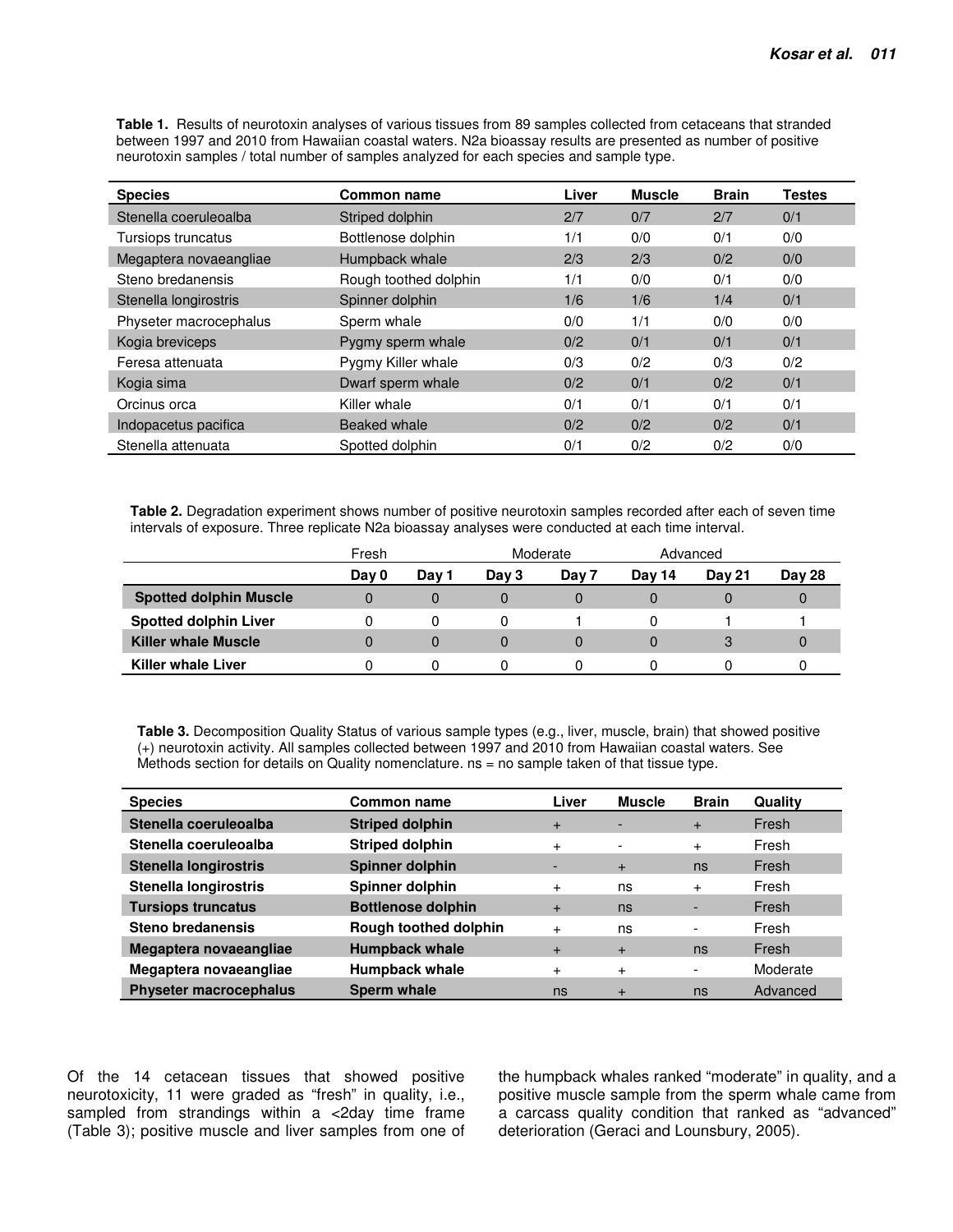**Table 1.** Results of neurotoxin analyses of various tissues from 89 samples collected from cetaceans that stranded between 1997 and 2010 from Hawaiian coastal waters. N2a bioassay results are presented as number of positive neurotoxin samples / total number of samples analyzed for each species and sample type.

| <b>Species</b>         | <b>Common name</b>    | Liver | <b>Muscle</b> | <b>Brain</b> | <b>Testes</b> |
|------------------------|-----------------------|-------|---------------|--------------|---------------|
| Stenella coeruleoalba  | Striped dolphin       | 2/7   | 0/7           | 2/7          | 0/1           |
| Tursiops truncatus     | Bottlenose dolphin    | 1/1   | 0/0           | 0/1          | 0/0           |
| Megaptera novaeangliae | Humpback whale        | 2/3   | 2/3           | 0/2          | 0/0           |
| Steno bredanensis      | Rough toothed dolphin | 1/1   | 0/0           | 0/1          | 0/0           |
| Stenella longirostris  | Spinner dolphin       | 1/6   | 1/6           | 1/4          | 0/1           |
| Physeter macrocephalus | Sperm whale           | 0/0   | 1/1           | 0/0          | 0/0           |
| Kogia breviceps        | Pygmy sperm whale     | 0/2   | 0/1           | 0/1          | 0/1           |
| Feresa attenuata       | Pygmy Killer whale    | 0/3   | 0/2           | 0/3          | 0/2           |
| Kogia sima             | Dwarf sperm whale     | 0/2   | 0/1           | 0/2          | 0/1           |
| Orcinus orca           | Killer whale          | 0/1   | 0/1           | 0/1          | 0/1           |
| Indopacetus pacifica   | Beaked whale          | 0/2   | 0/2           | 0/2          | 0/1           |
| Stenella attenuata     | Spotted dolphin       | 0/1   | 0/2           | 0/2          | 0/0           |

**Table 2.** Degradation experiment shows number of positive neurotoxin samples recorded after each of seven time intervals of exposure. Three replicate N2a bioassay analyses were conducted at each time interval.

|                               | Fresh |       |       | Moderate |        | Advanced      |               |
|-------------------------------|-------|-------|-------|----------|--------|---------------|---------------|
|                               | Day 0 | Day 1 | Day 3 | Day 7    | Dav 14 | <b>Dav 21</b> | <b>Day 28</b> |
| <b>Spotted dolphin Muscle</b> |       | O     |       |          |        |               |               |
| <b>Spotted dolphin Liver</b>  |       |       |       |          |        |               |               |
| <b>Killer whale Muscle</b>    |       | 0     | 0     |          |        |               |               |
| <b>Killer whale Liver</b>     |       |       |       |          |        |               |               |

**Table 3.** Decomposition Quality Status of various sample types (e.g., liver, muscle, brain) that showed positive (+) neurotoxin activity. All samples collected between 1997 and 2010 from Hawaiian coastal waters. See Methods section for details on Quality nomenclature. ns = no sample taken of that tissue type.

| <b>Species</b>                | Common name               | Liver     | <b>Muscle</b>            | <b>Brain</b>             | Quality  |
|-------------------------------|---------------------------|-----------|--------------------------|--------------------------|----------|
| Stenella coeruleoalba         | <b>Striped dolphin</b>    | $+$       | $\overline{\phantom{a}}$ | $+$                      | Fresh    |
| Stenella coeruleoalba         | <b>Striped dolphin</b>    | $+$       | $\overline{\phantom{a}}$ | $\ddot{}$                | Fresh    |
| <b>Stenella longirostris</b>  | Spinner dolphin           |           | $+$                      | ns                       | Fresh    |
| <b>Stenella longirostris</b>  | Spinner dolphin           | $^{+}$    | ns                       | $\ddot{}$                | Fresh    |
| <b>Tursiops truncatus</b>     | <b>Bottlenose dolphin</b> | $+$       | ns                       |                          | Fresh    |
| Steno bredanensis             | Rough toothed dolphin     | $\ddot{}$ | ns                       |                          | Fresh    |
| Megaptera novaeangliae        | <b>Humpback whale</b>     | $+$       | $+$                      | ns                       | Fresh    |
| Megaptera novaeangliae        | <b>Humpback whale</b>     | $+$       | $\ddot{}$                | $\overline{\phantom{0}}$ | Moderate |
| <b>Physeter macrocephalus</b> | Sperm whale               | ns        | $\ddot{}$                | ns                       | Advanced |

Of the 14 cetacean tissues that showed positive neurotoxicity, 11 were graded as "fresh" in quality, i.e., sampled from strandings within a <2day time frame (Table 3); positive muscle and liver samples from one of the humpback whales ranked "moderate" in quality, and a positive muscle sample from the sperm whale came from a carcass quality condition that ranked as "advanced" deterioration (Geraci and Lounsbury, 2005).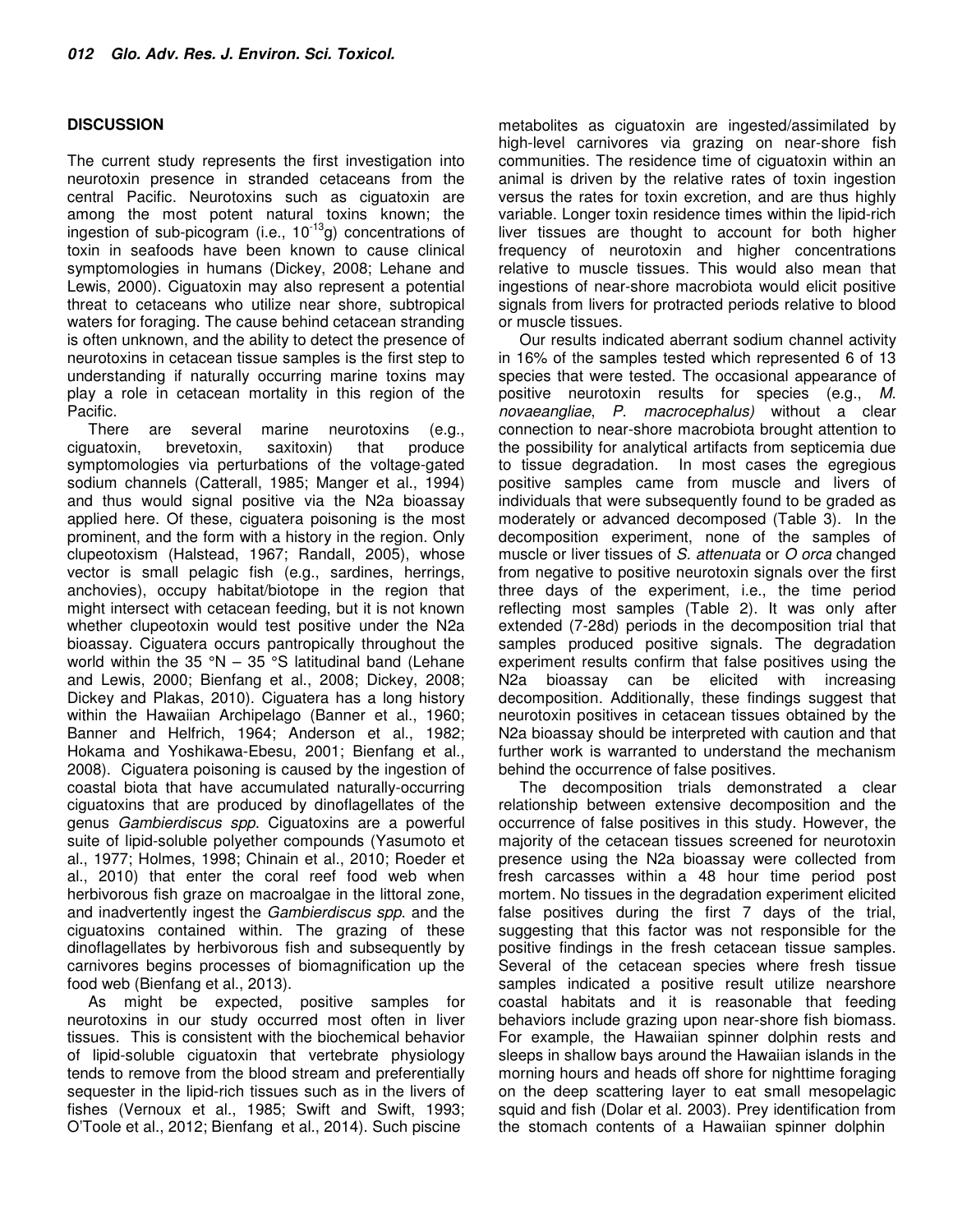## **DISCUSSION**

The current study represents the first investigation into neurotoxin presence in stranded cetaceans from the central Pacific. Neurotoxins such as ciguatoxin are among the most potent natural toxins known; the ingestion of sub-picogram (i.e.,  $10^{-13}$ g) concentrations of toxin in seafoods have been known to cause clinical symptomologies in humans (Dickey, 2008; Lehane and Lewis, 2000). Ciguatoxin may also represent a potential threat to cetaceans who utilize near shore, subtropical waters for foraging. The cause behind cetacean stranding is often unknown, and the ability to detect the presence of neurotoxins in cetacean tissue samples is the first step to understanding if naturally occurring marine toxins may play a role in cetacean mortality in this region of the Pacific.

There are several marine neurotoxins (e.g., ciguatoxin, brevetoxin, saxitoxin) that produce symptomologies via perturbations of the voltage-gated sodium channels (Catterall, 1985; Manger et al., 1994) and thus would signal positive via the N2a bioassay applied here. Of these, ciguatera poisoning is the most prominent, and the form with a history in the region. Only clupeotoxism (Halstead, 1967; Randall, 2005), whose vector is small pelagic fish (e.g., sardines, herrings, anchovies), occupy habitat/biotope in the region that might intersect with cetacean feeding, but it is not known whether clupeotoxin would test positive under the N2a bioassay. Ciguatera occurs pantropically throughout the world within the 35  $\degree$ N – 35  $\degree$ S latitudinal band (Lehane and Lewis, 2000; Bienfang et al., 2008; Dickey, 2008; Dickey and Plakas, 2010). Ciguatera has a long history within the Hawaiian Archipelago (Banner et al., 1960; Banner and Helfrich, 1964; Anderson et al., 1982; Hokama and Yoshikawa-Ebesu, 2001; Bienfang et al., 2008). Ciguatera poisoning is caused by the ingestion of coastal biota that have accumulated naturally-occurring ciguatoxins that are produced by dinoflagellates of the genus Gambierdiscus spp. Ciguatoxins are a powerful suite of lipid-soluble polyether compounds (Yasumoto et al., 1977; Holmes, 1998; Chinain et al., 2010; Roeder et al., 2010) that enter the coral reef food web when herbivorous fish graze on macroalgae in the littoral zone, and inadvertently ingest the Gambierdiscus spp. and the ciguatoxins contained within. The grazing of these dinoflagellates by herbivorous fish and subsequently by carnivores begins processes of biomagnification up the food web (Bienfang et al., 2013).

As might be expected, positive samples for neurotoxins in our study occurred most often in liver tissues. This is consistent with the biochemical behavior of lipid-soluble ciguatoxin that vertebrate physiology tends to remove from the blood stream and preferentially sequester in the lipid-rich tissues such as in the livers of fishes (Vernoux et al., 1985; Swift and Swift, 1993; O'Toole et al., 2012; Bienfang et al., 2014). Such piscine

metabolites as ciguatoxin are ingested/assimilated by high-level carnivores via grazing on near-shore fish communities. The residence time of ciguatoxin within an animal is driven by the relative rates of toxin ingestion versus the rates for toxin excretion, and are thus highly variable. Longer toxin residence times within the lipid-rich liver tissues are thought to account for both higher frequency of neurotoxin and higher concentrations relative to muscle tissues. This would also mean that ingestions of near-shore macrobiota would elicit positive signals from livers for protracted periods relative to blood or muscle tissues.

Our results indicated aberrant sodium channel activity in 16% of the samples tested which represented 6 of 13 species that were tested. The occasional appearance of positive neurotoxin results for species (e.g., M. novaeangliae, P. macrocephalus) without a clear connection to near-shore macrobiota brought attention to the possibility for analytical artifacts from septicemia due to tissue degradation. In most cases the egregious positive samples came from muscle and livers of individuals that were subsequently found to be graded as moderately or advanced decomposed (Table 3). In the decomposition experiment, none of the samples of muscle or liver tissues of S. attenuata or O orca changed from negative to positive neurotoxin signals over the first three days of the experiment, i.e., the time period reflecting most samples (Table 2). It was only after extended (7-28d) periods in the decomposition trial that samples produced positive signals. The degradation experiment results confirm that false positives using the N2a bioassay can be elicited with increasing decomposition. Additionally, these findings suggest that neurotoxin positives in cetacean tissues obtained by the N2a bioassay should be interpreted with caution and that further work is warranted to understand the mechanism behind the occurrence of false positives.

The decomposition trials demonstrated a clear relationship between extensive decomposition and the occurrence of false positives in this study. However, the majority of the cetacean tissues screened for neurotoxin presence using the N2a bioassay were collected from fresh carcasses within a 48 hour time period post mortem. No tissues in the degradation experiment elicited false positives during the first 7 days of the trial, suggesting that this factor was not responsible for the positive findings in the fresh cetacean tissue samples. Several of the cetacean species where fresh tissue samples indicated a positive result utilize nearshore coastal habitats and it is reasonable that feeding behaviors include grazing upon near-shore fish biomass. For example, the Hawaiian spinner dolphin rests and sleeps in shallow bays around the Hawaiian islands in the morning hours and heads off shore for nighttime foraging on the deep scattering layer to eat small mesopelagic squid and fish (Dolar et al. 2003). Prey identification from the stomach contents of a Hawaiian spinner dolphin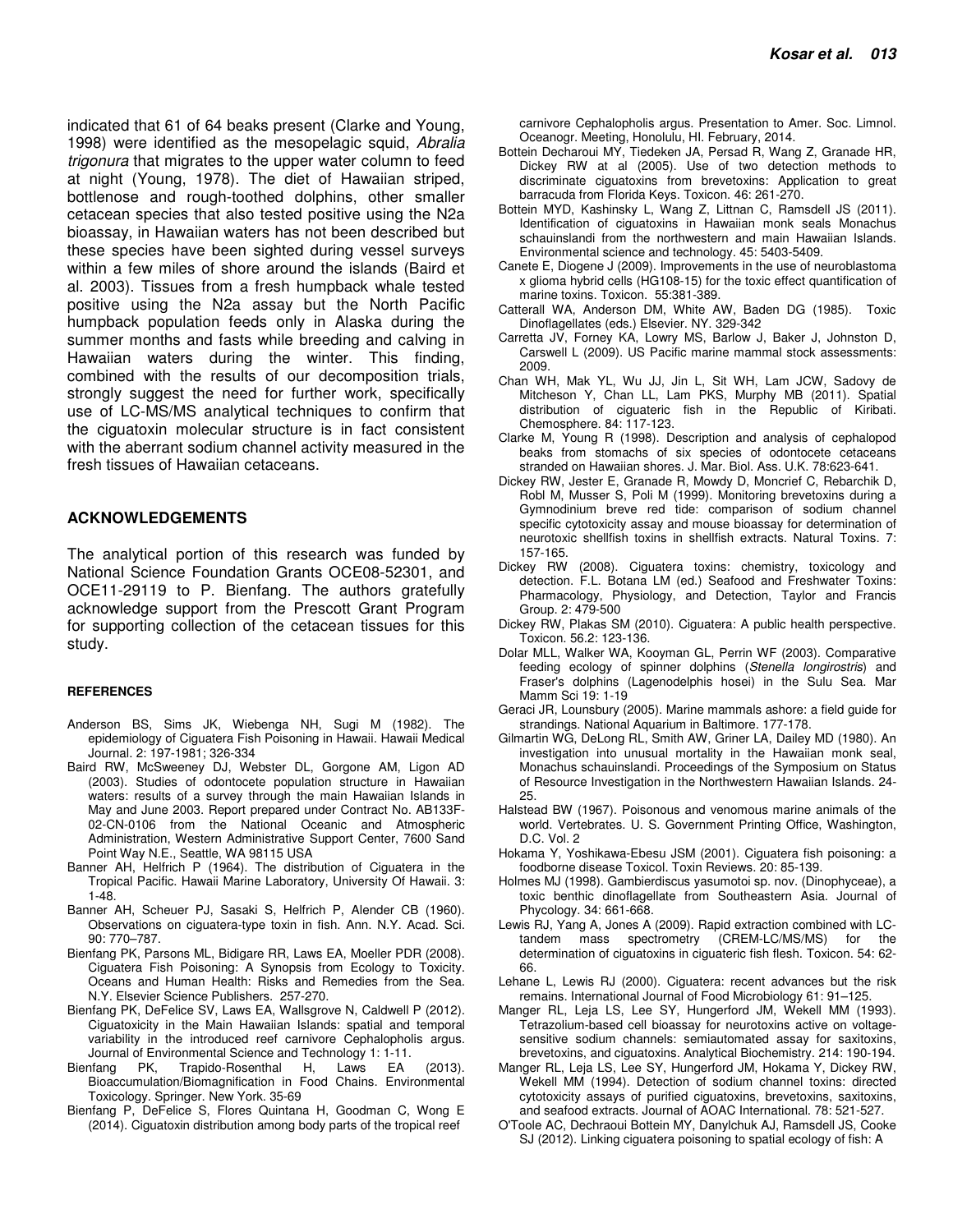indicated that 61 of 64 beaks present (Clarke and Young, 1998) were identified as the mesopelagic squid, Abralia trigonura that migrates to the upper water column to feed at night (Young, 1978). The diet of Hawaiian striped, bottlenose and rough-toothed dolphins, other smaller cetacean species that also tested positive using the N2a bioassay, in Hawaiian waters has not been described but these species have been sighted during vessel surveys within a few miles of shore around the islands (Baird et al. 2003). Tissues from a fresh humpback whale tested positive using the N2a assay but the North Pacific humpback population feeds only in Alaska during the summer months and fasts while breeding and calving in Hawaiian waters during the winter. This finding, combined with the results of our decomposition trials, strongly suggest the need for further work, specifically use of LC-MS/MS analytical techniques to confirm that the ciguatoxin molecular structure is in fact consistent with the aberrant sodium channel activity measured in the fresh tissues of Hawaiian cetaceans.

#### **ACKNOWLEDGEMENTS**

The analytical portion of this research was funded by National Science Foundation Grants OCE08-52301, and OCE11-29119 to P. Bienfang. The authors gratefully acknowledge support from the Prescott Grant Program for supporting collection of the cetacean tissues for this study.

#### **REFERENCES**

- Anderson BS, Sims JK, Wiebenga NH, Sugi M (1982). The epidemiology of Ciguatera Fish Poisoning in Hawaii. Hawaii Medical Journal. 2: 197-1981; 326-334
- Baird RW, McSweeney DJ, Webster DL, Gorgone AM, Ligon AD (2003). Studies of odontocete population structure in Hawaiian waters: results of a survey through the main Hawaiian Islands in May and June 2003. Report prepared under Contract No. AB133F-02-CN-0106 from the National Oceanic and Atmospheric Administration, Western Administrative Support Center, 7600 Sand Point Way N.E., Seattle, WA 98115 USA
- Banner AH, Helfrich P (1964). The distribution of Ciguatera in the Tropical Pacific. Hawaii Marine Laboratory, University Of Hawaii. 3: 1-48.
- Banner AH, Scheuer PJ, Sasaki S, Helfrich P, Alender CB (1960). Observations on ciguatera-type toxin in fish. Ann. N.Y. Acad. Sci. 90: 770–787.
- Bienfang PK, Parsons ML, Bidigare RR, Laws EA, Moeller PDR (2008). Ciguatera Fish Poisoning: A Synopsis from Ecology to Toxicity. Oceans and Human Health: Risks and Remedies from the Sea. N.Y. Elsevier Science Publishers. 257-270.
- Bienfang PK, DeFelice SV, Laws EA, Wallsgrove N, Caldwell P (2012). Ciguatoxicity in the Main Hawaiian Islands: spatial and temporal variability in the introduced reef carnivore Cephalopholis argus. Journal of Environmental Science and Technology 1: 1-11.
- Trapido-Rosenthal H, Laws EA (2013). Bioaccumulation/Biomagnification in Food Chains. Environmental Toxicology. Springer. New York. 35-69
- Bienfang P, DeFelice S, Flores Quintana H, Goodman C, Wong E (2014). Ciguatoxin distribution among body parts of the tropical reef

carnivore Cephalopholis argus. Presentation to Amer. Soc. Limnol. Oceanogr. Meeting, Honolulu, HI. February, 2014.

- Bottein Decharoui MY, Tiedeken JA, Persad R, Wang Z, Granade HR, Dickey RW at al (2005). Use of two detection methods to discriminate ciguatoxins from brevetoxins: Application to great barracuda from Florida Keys. Toxicon. 46: 261-270.
- Bottein MYD, Kashinsky L, Wang Z, Littnan C, Ramsdell JS (2011). Identification of ciguatoxins in Hawaiian monk seals Monachus schauinslandi from the northwestern and main Hawaiian Islands. Environmental science and technology. 45: 5403-5409.
- Canete E, Diogene J (2009). Improvements in the use of neuroblastoma x glioma hybrid cells (HG108-15) for the toxic effect quantification of marine toxins. Toxicon. 55:381-389.
- Catterall WA, Anderson DM, White AW, Baden DG (1985). Toxic Dinoflagellates (eds.) Elsevier. NY. 329-342
- Carretta JV, Forney KA, Lowry MS, Barlow J, Baker J, Johnston D, Carswell L (2009). US Pacific marine mammal stock assessments: 2009.
- Chan WH, Mak YL, Wu JJ, Jin L, Sit WH, Lam JCW, Sadovy de Mitcheson Y, Chan LL, Lam PKS, Murphy MB (2011). Spatial distribution of ciguateric fish in the Republic of Kiribati. Chemosphere. 84: 117-123.
- Clarke M, Young R (1998). Description and analysis of cephalopod beaks from stomachs of six species of odontocete cetaceans stranded on Hawaiian shores. J. Mar. Biol. Ass. U.K. 78:623-641.
- Dickey RW, Jester E, Granade R, Mowdy D, Moncrief C, Rebarchik D, Robl M, Musser S, Poli M (1999). Monitoring brevetoxins during a Gymnodinium breve red tide: comparison of sodium channel specific cytotoxicity assay and mouse bioassay for determination of neurotoxic shellfish toxins in shellfish extracts. Natural Toxins. 7: 157-165.
- Dickey RW (2008). Ciguatera toxins: chemistry, toxicology and detection. F.L. Botana LM (ed.) Seafood and Freshwater Toxins: Pharmacology, Physiology, and Detection, Taylor and Francis Group. 2: 479-500
- Dickey RW, Plakas SM (2010). Ciguatera: A public health perspective. Toxicon. 56.2: 123-136.
- Dolar MLL, Walker WA, Kooyman GL, Perrin WF (2003). Comparative feeding ecology of spinner dolphins (Stenella longirostris) and Fraser's dolphins (Lagenodelphis hosei) in the Sulu Sea. Mar Mamm Sci 19: 1-19
- Geraci JR, Lounsbury (2005). Marine mammals ashore: a field guide for strandings. National Aquarium in Baltimore. 177-178.
- Gilmartin WG, DeLong RL, Smith AW, Griner LA, Dailey MD (1980). An investigation into unusual mortality in the Hawaiian monk seal, Monachus schauinslandi. Proceedings of the Symposium on Status of Resource Investigation in the Northwestern Hawaiian Islands. 24- 25.
- Halstead BW (1967). Poisonous and venomous marine animals of the world. Vertebrates. U. S. Government Printing Office, Washington, D.C. Vol. 2
- Hokama Y, Yoshikawa-Ebesu JSM (2001). Ciguatera fish poisoning: a foodborne disease Toxicol. Toxin Reviews. 20: 85-139.
- Holmes MJ (1998). Gambierdiscus yasumotoi sp. nov. (Dinophyceae), a toxic benthic dinoflagellate from Southeastern Asia. Journal of Phycology. 34: 661-668.
- Lewis RJ, Yang A, Jones A (2009). Rapid extraction combined with LCtandem mass spectrometry (CREM-LC/MS/MS) for the determination of ciguatoxins in ciguateric fish flesh. Toxicon. 54: 62- 66.
- Lehane L, Lewis RJ (2000). Ciguatera: recent advances but the risk remains. International Journal of Food Microbiology 61: 91–125.
- Manger RL, Leja LS, Lee SY, Hungerford JM, Wekell MM (1993). Tetrazolium-based cell bioassay for neurotoxins active on voltagesensitive sodium channels: semiautomated assay for saxitoxins, brevetoxins, and ciguatoxins. Analytical Biochemistry. 214: 190-194.
- Manger RL, Leja LS, Lee SY, Hungerford JM, Hokama Y, Dickey RW, Wekell MM (1994). Detection of sodium channel toxins: directed cytotoxicity assays of purified ciguatoxins, brevetoxins, saxitoxins, and seafood extracts. Journal of AOAC International. 78: 521-527.
- O'Toole AC, Dechraoui Bottein MY, Danylchuk AJ, Ramsdell JS, Cooke SJ (2012). Linking ciguatera poisoning to spatial ecology of fish: A